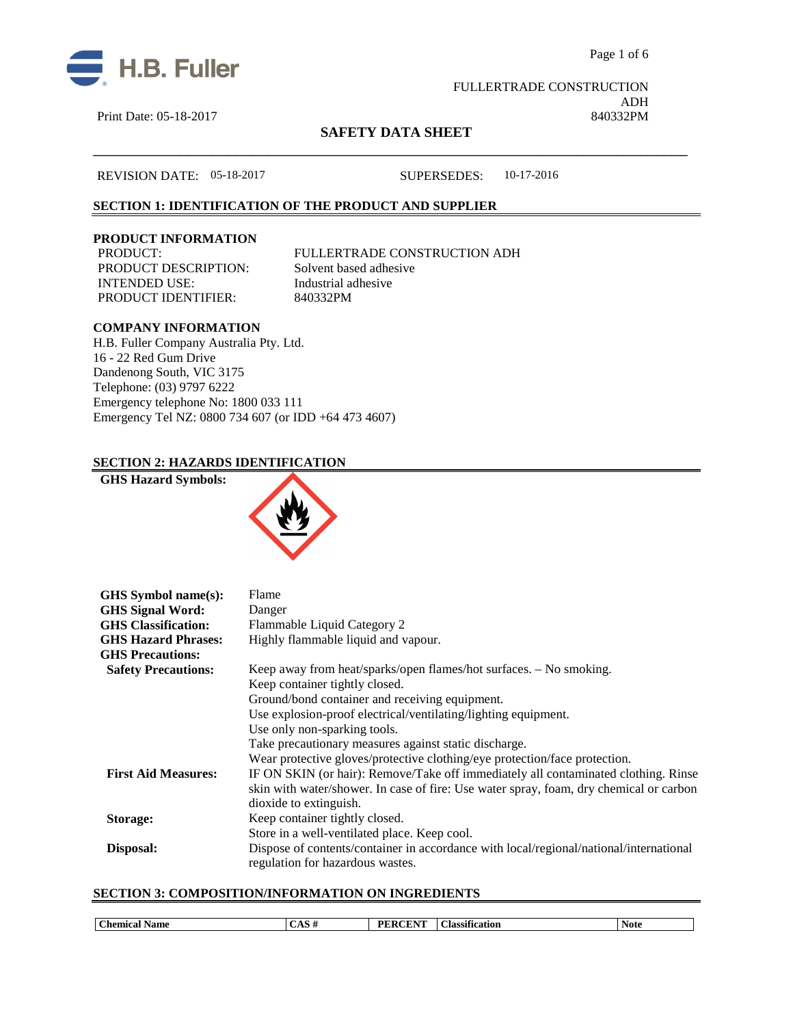



Print Date: 05-18-2017

 FULLERTRADE CONSTRUCTION ADH<br>840332PM

# **SAFETY DATA SHEET** \_\_\_\_\_\_\_\_\_\_\_\_\_\_\_\_\_\_\_\_\_\_\_\_\_\_\_\_\_\_\_\_\_\_\_\_\_\_\_\_\_\_\_\_\_\_\_\_\_\_\_\_\_\_\_\_\_\_\_\_\_\_\_\_\_\_\_\_\_\_\_\_\_\_\_

REVISION DATE: 05-18-2017 SUPERSEDES: 10-17-2016

# **SECTION 1: IDENTIFICATION OF THE PRODUCT AND SUPPLIER**

### **PRODUCT INFORMATION**

PRODUCT DESCRIPTION: INTENDED USE: Industrial adhesive PRODUCT IDENTIFIER: 840332PM

PRODUCT: FULLERTRADE CONSTRUCTION ADH<br>PRODUCT DESCRIPTION: Solvent based adhesive

### **COMPANY INFORMATION**

H.B. Fuller Company Australia Pty. Ltd. 16 - 22 Red Gum Drive Dandenong South, VIC 3175 Telephone: (03) 9797 6222 Emergency telephone No: 1800 033 111 Emergency Tel NZ: 0800 734 607 (or IDD +64 473 4607)

### **SECTION 2: HAZARDS IDENTIFICATION**

### **GHS Hazard Symbols:**



| GHS Symbol name(s):        | Flame                                                                                                                      |
|----------------------------|----------------------------------------------------------------------------------------------------------------------------|
| <b>GHS Signal Word:</b>    | Danger                                                                                                                     |
| <b>GHS</b> Classification: | Flammable Liquid Category 2                                                                                                |
| <b>GHS Hazard Phrases:</b> | Highly flammable liquid and vapour.                                                                                        |
| <b>GHS Precautions:</b>    |                                                                                                                            |
| <b>Safety Precautions:</b> | Keep away from heat/sparks/open flames/hot surfaces. - No smoking.                                                         |
|                            | Keep container tightly closed.                                                                                             |
|                            | Ground/bond container and receiving equipment.                                                                             |
|                            | Use explosion-proof electrical/ventilating/lighting equipment.                                                             |
|                            | Use only non-sparking tools.                                                                                               |
|                            | Take precautionary measures against static discharge.                                                                      |
|                            | Wear protective gloves/protective clothing/eye protection/face protection.                                                 |
| <b>First Aid Measures:</b> | IF ON SKIN (or hair): Remove/Take off immediately all contaminated clothing. Rinse                                         |
|                            | skin with water/shower. In case of fire: Use water spray, foam, dry chemical or carbon                                     |
|                            | dioxide to extinguish.                                                                                                     |
| Storage:                   | Keep container tightly closed.                                                                                             |
|                            | Store in a well-ventilated place. Keep cool.                                                                               |
| Disposal:                  | Dispose of contents/container in accordance with local/regional/national/international<br>regulation for hazardous wastes. |

### **SECTION 3: COMPOSITION/INFORMATION ON INGREDIENTS**

| $\sim$<br>:hemica<br>Name | <br>----<br>--<br>DГ<br>.<br>. IT | 0.00<br>$\sim$<br>ïcation<br>locat<br>лаг | <b>Note</b> |
|---------------------------|-----------------------------------|-------------------------------------------|-------------|
|                           |                                   |                                           |             |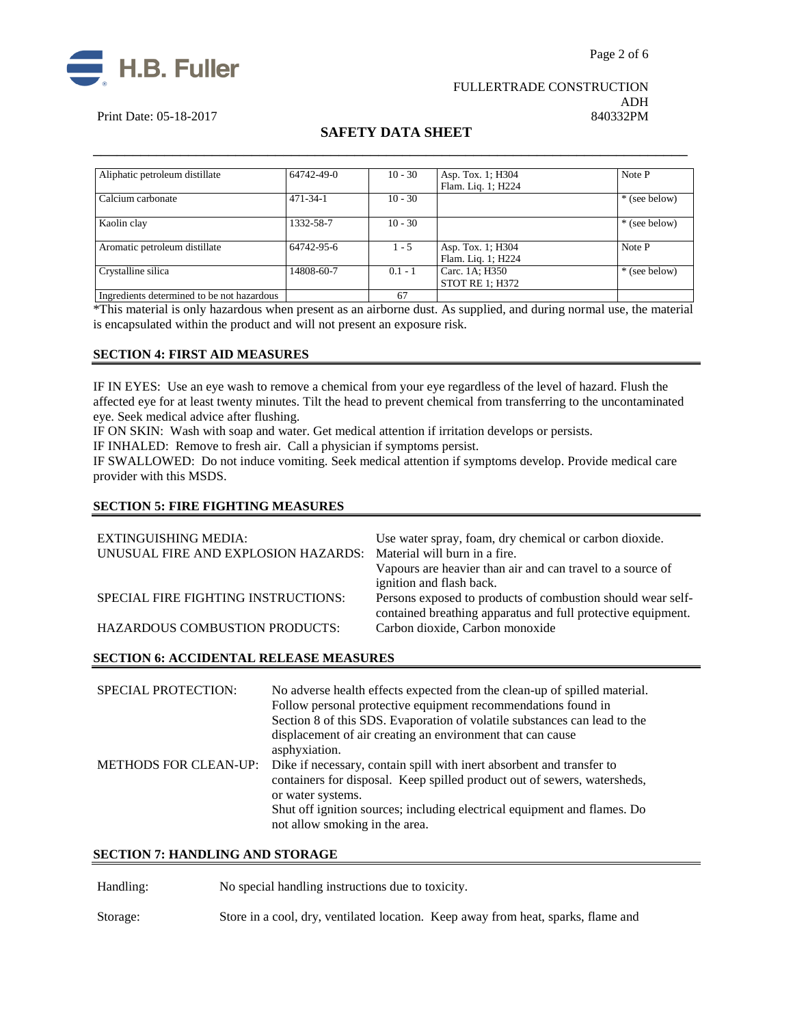



# FULLERTRADE CONSTRUCTION ADH<br>840332PM

### Print Date: 05-18-2017

# **SAFETY DATA SHEET** \_\_\_\_\_\_\_\_\_\_\_\_\_\_\_\_\_\_\_\_\_\_\_\_\_\_\_\_\_\_\_\_\_\_\_\_\_\_\_\_\_\_\_\_\_\_\_\_\_\_\_\_\_\_\_\_\_\_\_\_\_\_\_\_\_\_\_\_\_\_\_\_\_\_\_

| Aliphatic petroleum distillate             | 64742-49-0     | $10 - 30$ | Asp. Tox. 1; H304<br>Flam. Liq. 1; H224  | Note P        |
|--------------------------------------------|----------------|-----------|------------------------------------------|---------------|
| Calcium carbonate                          | $471 - 34 - 1$ | $10 - 30$ |                                          | * (see below) |
| Kaolin clay                                | 1332-58-7      | $10 - 30$ |                                          | * (see below) |
| Aromatic petroleum distillate              | 64742-95-6     | $1 - 5$   | Asp. Tox. 1; H304                        | Note P        |
|                                            |                |           | Flam. Liq. 1; H224                       |               |
| Crystalline silica                         | 14808-60-7     | $0.1 - 1$ | Carc. 1A; H350<br><b>STOT RE 1: H372</b> | * (see below) |
| Ingredients determined to be not hazardous |                | 67        |                                          |               |

\*This material is only hazardous when present as an airborne dust. As supplied, and during normal use, the material is encapsulated within the product and will not present an exposure risk.

### **SECTION 4: FIRST AID MEASURES**

IF IN EYES: Use an eye wash to remove a chemical from your eye regardless of the level of hazard. Flush the affected eye for at least twenty minutes. Tilt the head to prevent chemical from transferring to the uncontaminated eye. Seek medical advice after flushing.

IF ON SKIN: Wash with soap and water. Get medical attention if irritation develops or persists.

IF INHALED: Remove to fresh air. Call a physician if symptoms persist.

IF SWALLOWED:Do not induce vomiting. Seek medical attention if symptoms develop. Provide medical care provider with this MSDS.

### **SECTION 5: FIRE FIGHTING MEASURES**

| EXTINGUISHING MEDIA:                                              | Use water spray, foam, dry chemical or carbon dioxide.                                                                      |
|-------------------------------------------------------------------|-----------------------------------------------------------------------------------------------------------------------------|
| UNUSUAL FIRE AND EXPLOSION HAZARDS: Material will burn in a fire. |                                                                                                                             |
|                                                                   | Vapours are heavier than air and can travel to a source of                                                                  |
|                                                                   | ignition and flash back.                                                                                                    |
| SPECIAL FIRE FIGHTING INSTRUCTIONS:                               | Persons exposed to products of combustion should wear self-<br>contained breathing apparatus and full protective equipment. |
| <b>HAZARDOUS COMBUSTION PRODUCTS:</b>                             | Carbon dioxide, Carbon monoxide                                                                                             |

### **SECTION 6: ACCIDENTAL RELEASE MEASURES**

| <b>SPECIAL PROTECTION:</b>   | No adverse health effects expected from the clean-up of spilled material.<br>Follow personal protective equipment recommendations found in<br>Section 8 of this SDS. Evaporation of volatile substances can lead to the<br>displacement of air creating an environment that can cause<br>asphyxiation. |
|------------------------------|--------------------------------------------------------------------------------------------------------------------------------------------------------------------------------------------------------------------------------------------------------------------------------------------------------|
| <b>METHODS FOR CLEAN-UP:</b> | Dike if necessary, contain spill with inert absorbent and transfer to<br>containers for disposal. Keep spilled product out of sewers, watersheds,<br>or water systems.<br>Shut off ignition sources; including electrical equipment and flames. Do<br>not allow smoking in the area.                   |

### **SECTION 7: HANDLING AND STORAGE**

Handling: No special handling instructions due to toxicity.

Storage: Store in a cool, dry, ventilated location. Keep away from heat, sparks, flame and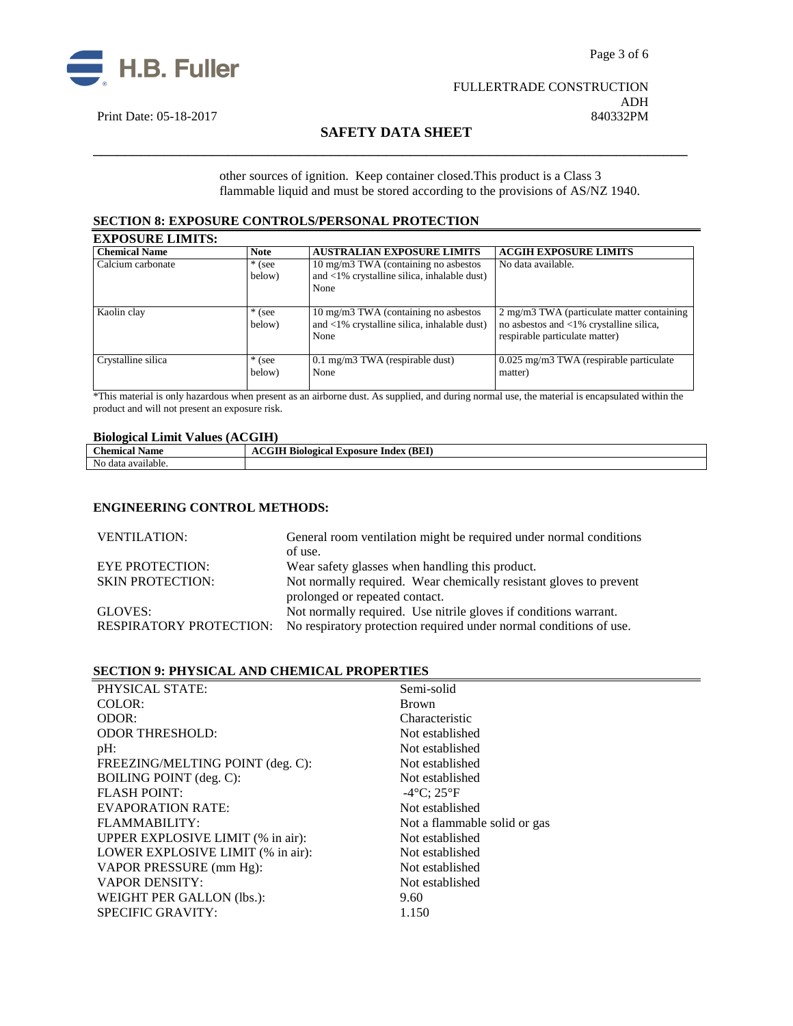



ADH<br>840332PM

# Print Date: 05-18-2017

# **SAFETY DATA SHEET** \_\_\_\_\_\_\_\_\_\_\_\_\_\_\_\_\_\_\_\_\_\_\_\_\_\_\_\_\_\_\_\_\_\_\_\_\_\_\_\_\_\_\_\_\_\_\_\_\_\_\_\_\_\_\_\_\_\_\_\_\_\_\_\_\_\_\_\_\_\_\_\_\_\_\_

other sources of ignition. Keep container closed.This product is a Class 3 flammable liquid and must be stored according to the provisions of AS/NZ 1940.

### **SECTION 8: EXPOSURE CONTROLS/PERSONAL PROTECTION**

| <b>EXPOSURE LIMITS:</b> |                    |                                                                                                        |                                                                                                                                    |
|-------------------------|--------------------|--------------------------------------------------------------------------------------------------------|------------------------------------------------------------------------------------------------------------------------------------|
| <b>Chemical Name</b>    | <b>Note</b>        | <b>AUSTRALIAN EXPOSURE LIMITS</b>                                                                      | <b>ACGIH EXPOSURE LIMITS</b>                                                                                                       |
| Calcium carbonate       | $*$ (see<br>below) | 10 mg/m3 TWA (containing no asbestos)<br>and $\langle 1\%$ crystalline silica, inhalable dust)<br>None | No data available.                                                                                                                 |
| Kaolin clay             | $*$ (see<br>below) | 10 mg/m3 TWA (containing no asbestos)<br>and $\langle 1\%$ crystalline silica, inhalable dust)<br>None | 2 mg/m3 TWA (particulate matter containing)<br>no asbestos and $\langle 1\%$ crystalline silica,<br>respirable particulate matter) |
| Crystalline silica      | $*$ (see<br>below) | $0.1$ mg/m3 TWA (respirable dust)<br>None                                                              | 0.025 mg/m3 TWA (respirable particulate<br>matter)                                                                                 |

\*This material is only hazardous when present as an airborne dust. As supplied, and during normal use, the material is encapsulated within the product and will not present an exposure risk.

### **Biological Limit Values (ACGIH)**

| Chemica<br><b>Name</b>                | $T \mathbf{F}$<br>(BEI<br><b>LXDOSUITE</b><br>Index<br>Sinlagical<br>л |
|---------------------------------------|------------------------------------------------------------------------|
| N <sub>0</sub><br><br>data available. |                                                                        |

### **ENGINEERING CONTROL METHODS:**

| <b>VENTILATION:</b>            | General room ventilation might be required under normal conditions |  |
|--------------------------------|--------------------------------------------------------------------|--|
|                                | of use.                                                            |  |
| <b>EYE PROTECTION:</b>         | Wear safety glasses when handling this product.                    |  |
| <b>SKIN PROTECTION:</b>        | Not normally required. Wear chemically resistant gloves to prevent |  |
|                                | prolonged or repeated contact.                                     |  |
| GLOVES:                        | Not normally required. Use nitrile gloves if conditions warrant.   |  |
| <b>RESPIRATORY PROTECTION:</b> | No respiratory protection required under normal conditions of use. |  |

### **SECTION 9: PHYSICAL AND CHEMICAL PROPERTIES**

| PHYSICAL STATE:                   | Semi-solid                   |
|-----------------------------------|------------------------------|
| COLOR:                            | <b>Brown</b>                 |
| ODOR:                             | Characteristic               |
| <b>ODOR THRESHOLD:</b>            | Not established              |
| pH:                               | Not established              |
| FREEZING/MELTING POINT (deg. C):  | Not established              |
| <b>BOILING POINT</b> (deg. C):    | Not established              |
| <b>FLASH POINT:</b>               | $-4$ °C; 25°F                |
| <b>EVAPORATION RATE:</b>          | Not established              |
| FLAMMABILITY:                     | Not a flammable solid or gas |
| UPPER EXPLOSIVE LIMIT (% in air): | Not established              |
| LOWER EXPLOSIVE LIMIT (% in air): | Not established              |
| VAPOR PRESSURE (mm Hg):           | Not established              |
| <b>VAPOR DENSITY:</b>             | Not established              |
| WEIGHT PER GALLON (lbs.):         | 9.60                         |
| <b>SPECIFIC GRAVITY:</b>          | 1.150                        |
|                                   |                              |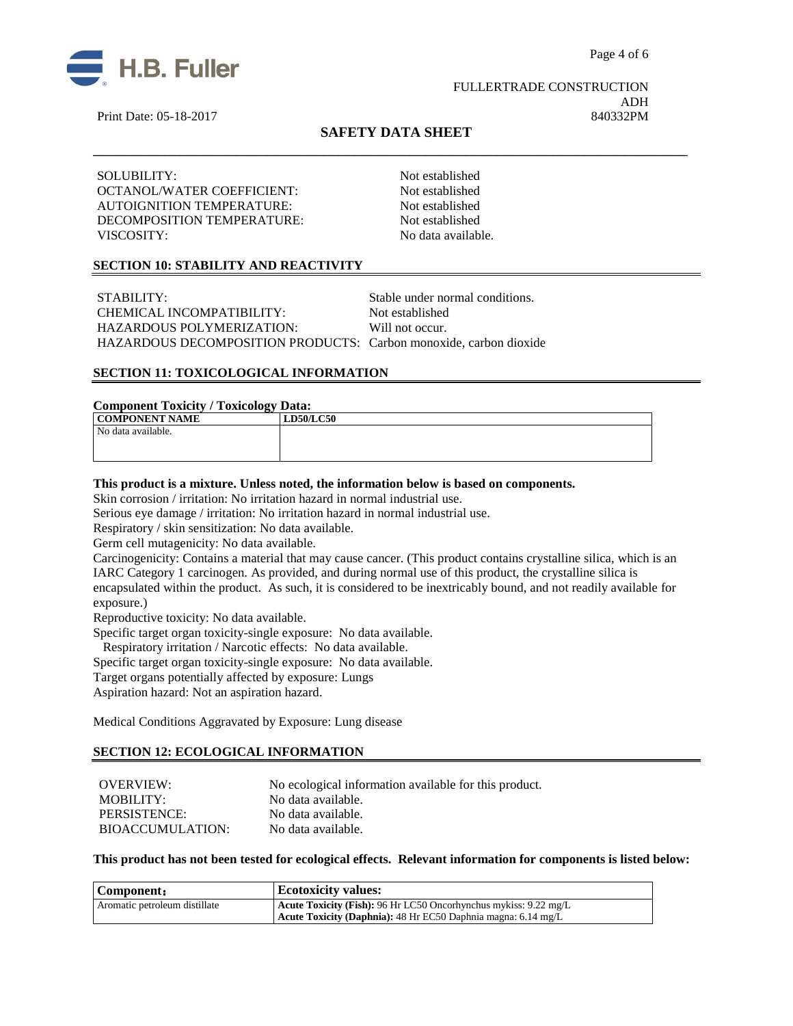

 FULLERTRADE CONSTRUCTION ADH Print Date: 05-18-2017 840332PM

# **SAFETY DATA SHEET** \_\_\_\_\_\_\_\_\_\_\_\_\_\_\_\_\_\_\_\_\_\_\_\_\_\_\_\_\_\_\_\_\_\_\_\_\_\_\_\_\_\_\_\_\_\_\_\_\_\_\_\_\_\_\_\_\_\_\_\_\_\_\_\_\_\_\_\_\_\_\_\_\_\_\_

SOLUBILITY: Not established OCTANOL/WATER COEFFICIENT: Not established AUTOIGNITION TEMPERATURE: Not established DECOMPOSITION TEMPERATURE: Not established VISCOSITY: No data available.

### **SECTION 10: STABILITY AND REACTIVITY**

STABILITY: STABILITY: CHEMICAL INCOMPATIBILITY: Not established HAZARDOUS POLYMERIZATION: Will not occur. HAZARDOUS DECOMPOSITION PRODUCTS: Carbon monoxide, carbon dioxide

### **SECTION 11: TOXICOLOGICAL INFORMATION**

### **Component Toxicity / Toxicology Data:**

| ິ<br><b>COMPONENT NAME</b> | <b>LD50/LC50</b> |
|----------------------------|------------------|
| No data available.         |                  |
|                            |                  |
|                            |                  |

### **This product is a mixture. Unless noted, the information below is based on components.**

Skin corrosion / irritation: No irritation hazard in normal industrial use.

Serious eye damage / irritation: No irritation hazard in normal industrial use.

Respiratory / skin sensitization: No data available.

Germ cell mutagenicity: No data available.

Carcinogenicity: Contains a material that may cause cancer. (This product contains crystalline silica, which is an IARC Category 1 carcinogen. As provided, and during normal use of this product, the crystalline silica is encapsulated within the product. As such, it is considered to be inextricably bound, and not readily available for exposure.)

Reproductive toxicity: No data available.

Specific target organ toxicity-single exposure:No data available.

Respiratory irritation / Narcotic effects: No data available.

Specific target organ toxicity-single exposure:No data available.

Target organs potentially affected by exposure: Lungs

Aspiration hazard: Not an aspiration hazard.

Medical Conditions Aggravated by Exposure: Lung disease

### **SECTION 12: ECOLOGICAL INFORMATION**

OVERVIEW: No ecological information available for this product.<br>MOBILITY: No data available. No data available.<br>No data available. PERSISTENCE: BIOACCUMULATION: No data available.

### **This product has not been tested for ecological effects. Relevant information for components is listed below:**

| Component:                    | <b>Ecotoxicity values:</b>                                              |
|-------------------------------|-------------------------------------------------------------------------|
| Aromatic petroleum distillate | <b>Acute Toxicity (Fish):</b> 96 Hr LC50 Oncorhynchus mykiss: 9.22 mg/L |
|                               | Acute Toxicity (Daphnia): 48 Hr EC50 Daphnia magna: 6.14 mg/L           |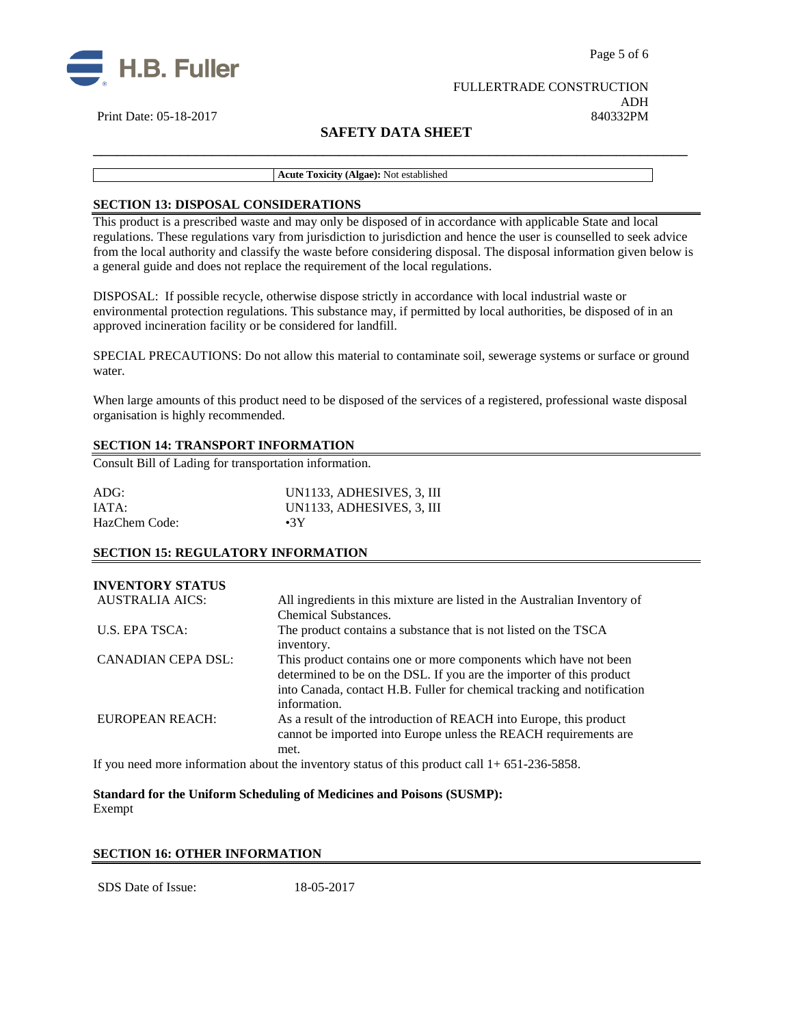



### FULLERTRADE CONSTRUCTION ADH Print Date: 05-18-2017 840332PM

# **SAFETY DATA SHEET**

**Acute Toxicity (Algae):** Not established

### **SECTION 13: DISPOSAL CONSIDERATIONS**

This product is a prescribed waste and may only be disposed of in accordance with applicable State and local regulations. These regulations vary from jurisdiction to jurisdiction and hence the user is counselled to seek advice from the local authority and classify the waste before considering disposal. The disposal information given below is a general guide and does not replace the requirement of the local regulations.

\_\_\_\_\_\_\_\_\_\_\_\_\_\_\_\_\_\_\_\_\_\_\_\_\_\_\_\_\_\_\_\_\_\_\_\_\_\_\_\_\_\_\_\_\_\_\_\_\_\_\_\_\_\_\_\_\_\_\_\_\_\_\_\_\_\_\_\_\_\_\_\_\_\_\_

DISPOSAL: If possible recycle, otherwise dispose strictly in accordance with local industrial waste or environmental protection regulations. This substance may, if permitted by local authorities, be disposed of in an approved incineration facility or be considered for landfill.

SPECIAL PRECAUTIONS: Do not allow this material to contaminate soil, sewerage systems or surface or ground water.

When large amounts of this product need to be disposed of the services of a registered, professional waste disposal organisation is highly recommended.

### **SECTION 14: TRANSPORT INFORMATION**

Consult Bill of Lading for transportation information.

| ADG:          | UN1133, ADHESIVES, 3, III |
|---------------|---------------------------|
| IATA:         | UN1133, ADHESIVES, 3, III |
| HazChem Code: | $\cdot$ 3Y                |

### **SECTION 15: REGULATORY INFORMATION**

| <b>INVENTORY STATUS</b>   |                                                                                                                                                                                                                     |
|---------------------------|---------------------------------------------------------------------------------------------------------------------------------------------------------------------------------------------------------------------|
| AUSTRALIA AICS:           | All ingredients in this mixture are listed in the Australian Inventory of                                                                                                                                           |
|                           | <b>Chemical Substances.</b>                                                                                                                                                                                         |
| U.S. EPA TSCA:            | The product contains a substance that is not listed on the TSCA<br>inventory.                                                                                                                                       |
| <b>CANADIAN CEPA DSL:</b> | This product contains one or more components which have not been<br>determined to be on the DSL. If you are the importer of this product<br>into Canada, contact H.B. Fuller for chemical tracking and notification |
|                           | information.                                                                                                                                                                                                        |
| EUROPEAN REACH:           | As a result of the introduction of REACH into Europe, this product<br>cannot be imported into Europe unless the REACH requirements are<br>met.                                                                      |
|                           |                                                                                                                                                                                                                     |

If you need more information about the inventory status of this product call 1+ 651-236-5858.

**Standard for the Uniform Scheduling of Medicines and Poisons (SUSMP):**  Exempt

### **SECTION 16: OTHER INFORMATION**

SDS Date of Issue: 18-05-2017